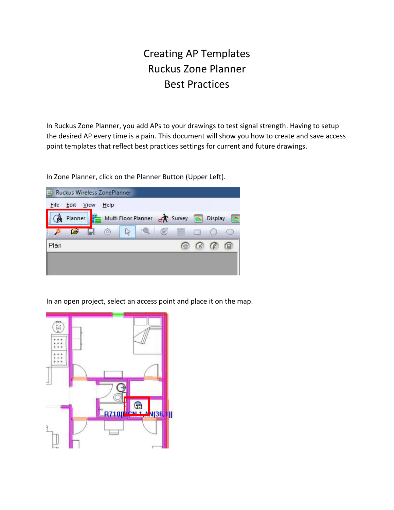## Creating AP Templates Ruckus Zone Planner Best Practices

In Ruckus Zone Planner, you add APs to your drawings to test signal strength. Having to setup the desired AP every time is a pain. This document will show you how to create and save access point templates that reflect best practices settings for current and future drawings.

In Zone Planner, click on the Planner Button (Upper Left).



In an open project, select an access point and place it on the map.

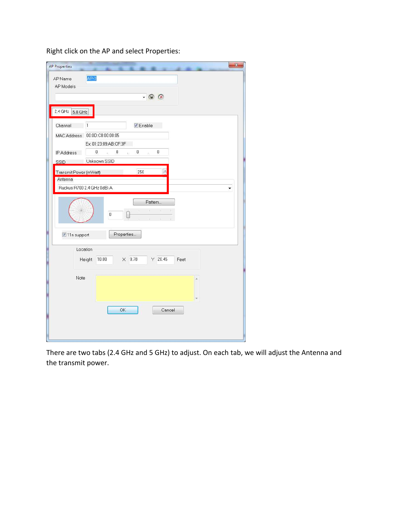| Right click on the AP and select Properties: |  |
|----------------------------------------------|--|
|----------------------------------------------|--|

| <b>AP Properties</b>   | $\mathbf{x}$                                                       |
|------------------------|--------------------------------------------------------------------|
| AP Name<br>AP Models   | $AP-3$                                                             |
|                        | $- Q R$                                                            |
| 2.4 GHz 5.0 GHz        |                                                                    |
| Channel                | <b>V</b> Enable<br>1                                               |
| MAC Address            | 00:0D:C8:00:00:05                                                  |
|                        | Ex: 01:23:89:AB:CF:3F                                              |
| IP Address             | 0<br>$0\,$<br>0<br>0<br>$\ddot{\phantom{0}}$<br>$\sim$<br>as<br>as |
| <b>SSID</b>            | Unknown SSID                                                       |
| Transmit Power (mWatt) | $\triangle$<br>250                                                 |
| Antenna                |                                                                    |
|                        | Ruckus R700 2.4 GHz 0dBi A                                         |
|                        | Pattern<br>W.<br>o.<br>$\boldsymbol{0}$                            |
| 11n support            | Properties                                                         |
| Location               |                                                                    |
|                        | $\times$ 9.78<br>$Y$ 20.45<br>Height<br>10.00<br>Feet              |
| Note                   | ×                                                                  |
|                        |                                                                    |
|                        |                                                                    |
|                        | OK<br>Cancel                                                       |
|                        |                                                                    |
|                        |                                                                    |
|                        |                                                                    |

There are two tabs (2.4 GHz and 5 GHz) to adjust. On each tab, we will adjust the Antenna and the transmit power.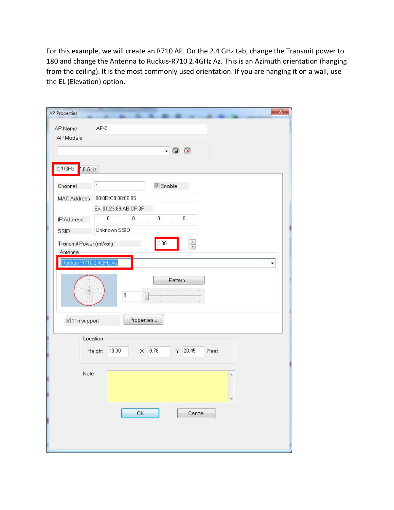For this example, we will create an R710 AP. On the 2.4 GHz tab, change the Transmit power to 180 and change the Antenna to Ruckus-R710 2.4GHz Az. This is an Azimuth orientation (hanging from the ceiling). It is the most commonly used orientation. If you are hanging it on a wall, use the EL (Elevation) option.

| <b>AP Properties</b>              | ×                                                                  |
|-----------------------------------|--------------------------------------------------------------------|
| AP Name<br>AP Models              | $AP-3$                                                             |
|                                   | $ \circ$ $\circ$                                                   |
| 2.4 GHz $5.0$ GHz                 |                                                                    |
| Channel                           | $\mathbf{1}$<br><b>V</b> Enable                                    |
| MAC Address                       | 00:0D:C8:00:00:05                                                  |
| IP Address                        | Ex: 01:23:89:AB:CF:3F<br>$0\,$<br>$\sim$ 0<br>$\sim$ 0<br>0<br>æs. |
| SSID                              | Unknown SSID                                                       |
| Transmit Power (mWatt)<br>Antenna | 180<br>$\frac{1}{x}$                                               |
| Ruckus-R710 2.4GHz Az             | ۳                                                                  |
|                                   | Pattern<br>$(4 - 14 - 4)$<br>$\boldsymbol{0}$                      |
| 11n support                       | Properties                                                         |
|                                   | Location<br>$\times$ 9.78<br>$Y$ 20.45<br>10.00<br>Height<br>Feet  |
| Note                              |                                                                    |
|                                   | $\mathsf{OK}$<br>Cancel                                            |
|                                   |                                                                    |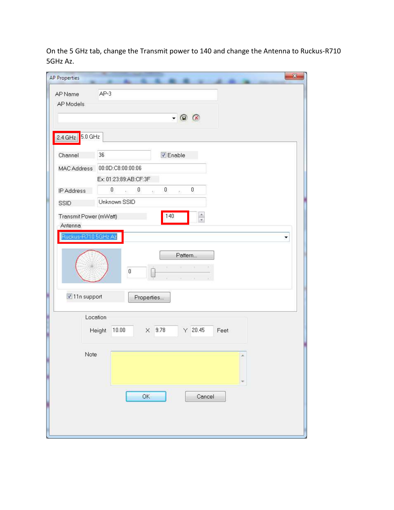On the 5 GHz tab, change the Transmit power to 140 and change the Antenna to Ruckus-R710 5GHz Az.

| AP Name                        | $AP-3$                                                |
|--------------------------------|-------------------------------------------------------|
| AP Models                      |                                                       |
|                                |                                                       |
|                                | $\circ$<br>$\blacktriangledown$                       |
|                                |                                                       |
| $5.0 \text{ GHz}$<br>$2.4$ GHz |                                                       |
| Channel                        | 36<br>$\nabla$ Enable                                 |
| <b>MAC Address</b>             | 00:0D:C8:00:00:06                                     |
|                                | Ex: 01:23:89:AB:CF:3F                                 |
|                                | $\mathbf{0}$<br>$\sim$ 0<br>$0\,$<br>$\sim$ 0         |
| IP Address                     | àS.                                                   |
| <b>SSID</b>                    | Unknown SSID                                          |
| Transmit Power (mWatt)         | $\frac{1}{x}$<br>140                                  |
| Antenna                        |                                                       |
| Ruckus-R710 5GHz Az            | ۳                                                     |
|                                |                                                       |
|                                | Pattern                                               |
|                                | M.<br>$\boldsymbol{0}$                                |
|                                |                                                       |
| 11n support                    |                                                       |
|                                | Properties                                            |
|                                | Location                                              |
|                                | $\times$ 9.78<br>$Y$ 20.45<br>10.00<br>Height<br>Feet |
|                                |                                                       |
|                                |                                                       |
| Note                           | ×                                                     |
|                                |                                                       |
|                                |                                                       |
|                                |                                                       |
|                                | OK<br>Cancel                                          |
|                                |                                                       |
|                                |                                                       |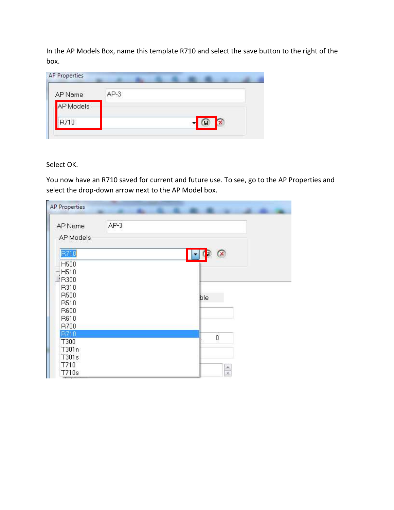In the AP Models Box, name this template R710 and select the save button to the right of the box.

| AP Name   | $AP-3$ |
|-----------|--------|
| AP Models |        |
| R710      |        |

Select OK.

You now have an R710 saved for current and future use. To see, go to the AP Properties and select the drop-down arrow next to the AP Model box.

| AP Name<br>AP Models | $AP-3$ |              |                |  |
|----------------------|--------|--------------|----------------|--|
| R710                 |        | $\mathbf{r}$ | <mark>⊗</mark> |  |
| H500                 |        |              |                |  |
| H510                 |        |              |                |  |
| P300                 |        |              |                |  |
| R310                 |        |              |                |  |
| R500                 |        |              | ble            |  |
| R510                 |        |              |                |  |
| R600                 |        |              |                |  |
| R610                 |        |              |                |  |
| R700                 |        |              |                |  |
| R710                 |        |              | 0              |  |
| T300                 |        |              |                |  |
| T301n                |        |              |                |  |
| T301s                |        |              |                |  |
| T710                 |        |              |                |  |
| T710s                |        |              | $\frac{1}{x}$  |  |